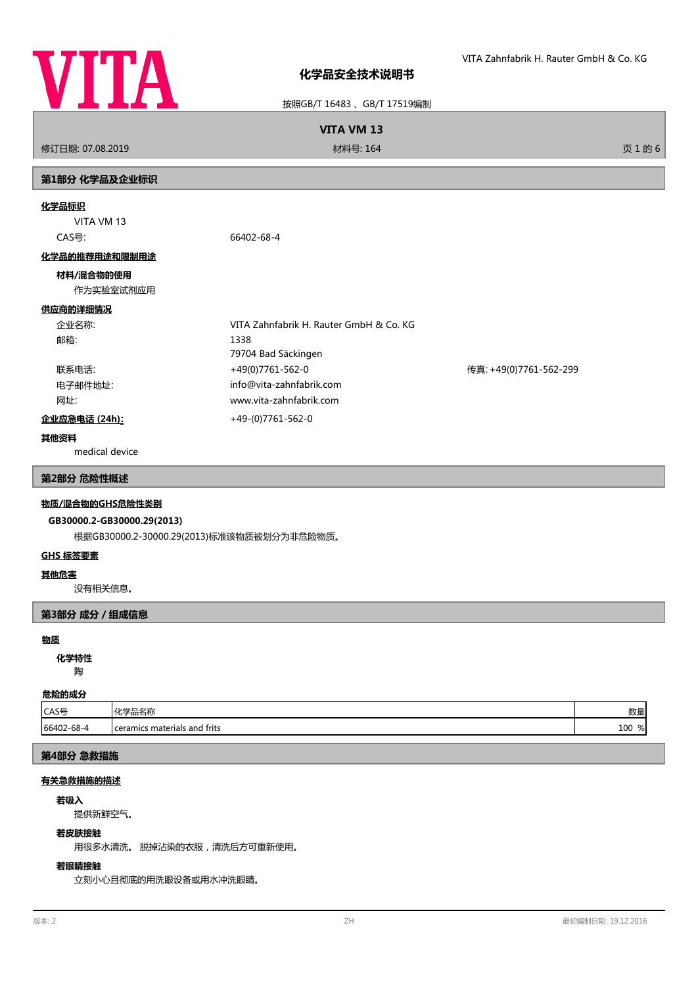

按照GB/T 16483 、GB/T 17519编制

**VITA VM 13**

修订日期: 07.08.2019 材料号: 164 页 1 的 6

# **第1部分 化学品及企业标识**

### **化学品标识**

VITA VM 13

CAS号: 66402-68-4

## **化学品的推荐用途和限制用途**

## **材料/混合物的使用**

作为实验室试剂应用

# **供应商的详细情况**

| 企业名称:   | VITA Zahnfabrik H. Rauter GmbH & Co. KG |                        |
|---------|-----------------------------------------|------------------------|
| 邮箱:     | 1338                                    |                        |
|         | 79704 Bad Säckingen                     |                        |
| 联系电话:   | +49(0)7761-562-0                        | 传真: +49(0)7761-562-299 |
| 电子邮件地址: | info@vita-zahnfabrik.com                |                        |
| 网址:     | www.vita-zahnfabrik.com                 |                        |
|         |                                         |                        |

# **企业应急电话 (24h):** +49-(0)7761-562-0

## **其他资料**

medical device

## **第2部分 危险性概述**

## **物质/混合物的GHS危险性类别**

# **GB30000.2-GB30000.29(2013)**

根据GB30000.2-30000.29(2013)标准该物质被划分为非危险物质。

## **GHS 标签要素**

## **其他危害**

没有相关信息。

## **第3部分 成分/组成信息**

#### **物质**

陶 **化学特性**

# **危险的成分**

| .          |                                |            |
|------------|--------------------------------|------------|
| lCAS号      | ル当ロクわ<br>"帕白州<br>. ru          | M4L<br>女人生 |
| 66402-68-4 | I ceramics materials and frits | 100<br>%   |

# **第4部分 急救措施**

# **有关急救措施的描述**

#### **若吸入**

提供新鲜空气。

#### **若皮肤接触**

用很多水清洗。 脱掉沾染的衣服,清洗后方可重新使用。

# **若眼睛接触**

立刻小心且彻底的用洗眼设备或用水冲洗眼睛。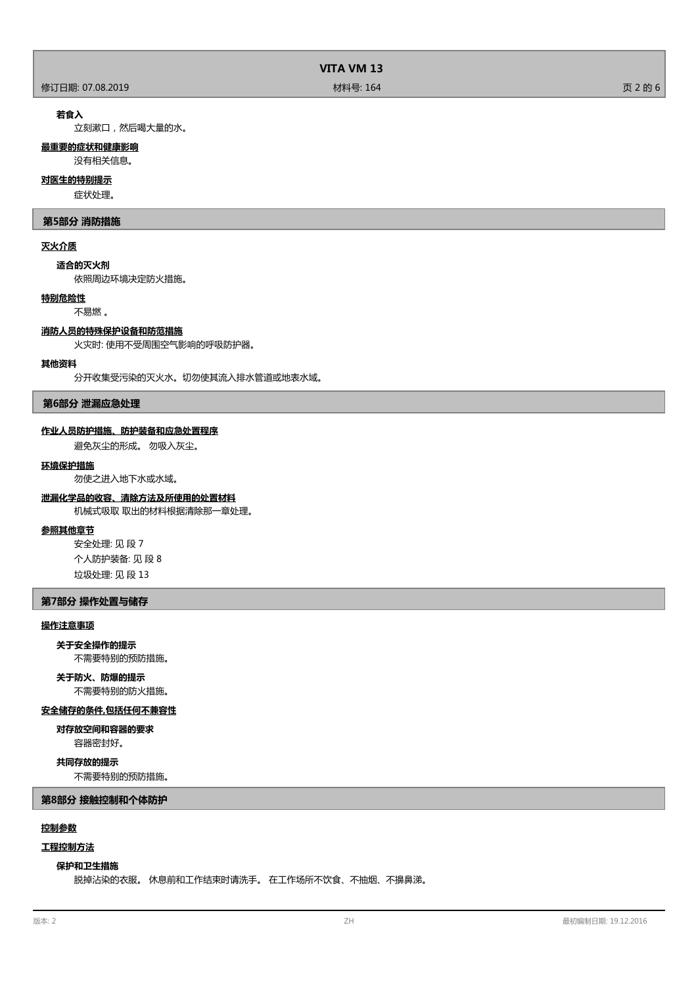|                  | VITA VM 13 |         |
|------------------|------------|---------|
| 修订日期: 07.08.2019 | 材料号: 164   | 页 2 的 6 |

## **若食入**

立刻漱口,然后喝大量的水。

## **最重要的症状和健康影响**

没有相关信息。

# **对医生的特别提示**

症状处理。

## **第5部分 消防措施**

## **灭火介质**

**适合的灭火剂**

依照周边环境决定防火措施。

# **特别危险性**

不易燃 。

#### **消防人员的特殊保护设备和防范措施**

火灾时: 使用不受周围空气影响的呼吸防护器。

## **其他资料**

分开收集受污染的灭火水。切勿使其流入排水管道或地表水域。

## **第6部分 泄漏应急处理**

## **作业人员防护措施、防护装备和应急处置程序**

避免灰尘的形成。 勿吸入灰尘。

#### **环境保护措施**

勿使之进入地下水或水域。

# **泄漏化学品的收容、清除方法及所使用的处置材料**

机械式吸取 取出的材料根据清除那一章处理。

# **参照其他章节**

安全处理: 见 段 7 个人防护装备: 见 段 8 垃圾处理: 见 段 13

# **第7部分 操作处置与储存**

## **操作注意事项**

#### **关于安全操作的提示**

不需要特别的预防措施。

# **关于防火、防爆的提示**

不需要特别的防火措施。

# **安全储存的条件,包括任何不兼容性**

容器密封好。 **对存放空间和容器的要求**

# **共同存放的提示**

不需要特别的预防措施。

**第8部分 接触控制和个体防护**

# **控制参数**

# **工程控制方法**

## **保护和卫生措施**

脱掉沾染的衣服。 休息前和工作结束时请洗手。 在工作场所不饮食、不抽烟、不擤鼻涕。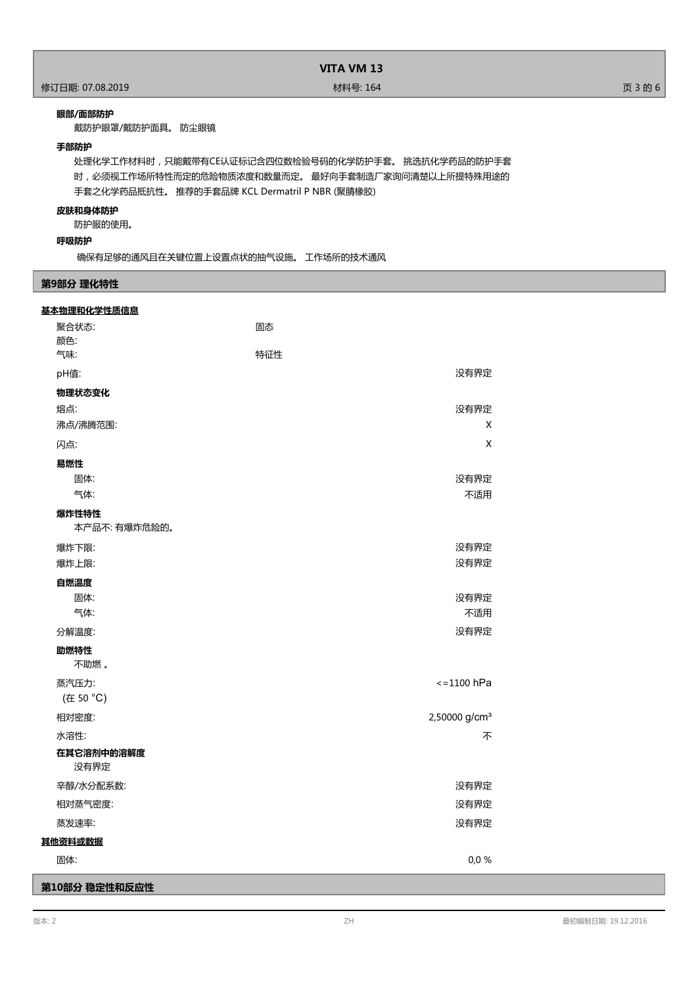## **眼部/面部防护**

戴防护眼罩/戴防护面具。 防尘眼镜

## **手部防护**

处理化学工作材料时,只能戴带有CE认证标记含四位数检验号码的化学防护手套。 挑选抗化学药品的防护手套 时,必须视工作场所特性而定的危险物质浓度和数量而定。 最好向手套制造厂家询问清楚以上所提特殊用途的 手套之化学药品抵抗性。 推荐的手套品牌 KCL Dermatril P NBR (聚腈橡胶)

## **皮肤和身体防护**

防护服的使用。

# **呼吸防护**

确保有足够的通风且在关键位置上设置点状的抽气设施。 工作场所的技术通风

## **第9部分 理化特性**

| 基本物理和化学性质信息           |                           |
|-----------------------|---------------------------|
| 聚合状态:                 | 固态                        |
| 颜色:                   |                           |
| 气味:                   | 特征性                       |
| pH值:                  | 没有界定                      |
| 物理状态变化                |                           |
| 熔点:                   | 没有界定                      |
| 沸点/沸腾范围:              | X                         |
| 闪点:                   | X                         |
| 易燃性                   |                           |
| 固体:                   | 没有界定                      |
| 气体:                   | 不适用                       |
| 爆炸性特性<br>本产品不:有爆炸危险的。 |                           |
| 爆炸下限:                 | 没有界定                      |
| 爆炸上限:                 | 没有界定                      |
| 自燃温度                  |                           |
| 固体:                   | 没有界定                      |
| 气体:                   | 不适用                       |
| 分解温度:                 | 没有界定                      |
| 助燃特性<br>不助燃。          |                           |
| 蒸汽压力:                 | $\le$ = 1100 hPa          |
| (在 50 °C)             |                           |
| 相对密度:                 | 2,50000 g/cm <sup>3</sup> |
| 水溶性:                  | 不                         |
| 在其它溶剂中的溶解度<br>没有界定    |                           |
| 辛醇/水分配系数:             | 没有界定                      |
| 相对蒸气密度:               | 没有界定                      |
| 蒸发速率:                 | 没有界定                      |
| 其他资料或数据               |                           |
| 固体:                   | 0,0%                      |
| 第10部分 稳定性和反应性         |                           |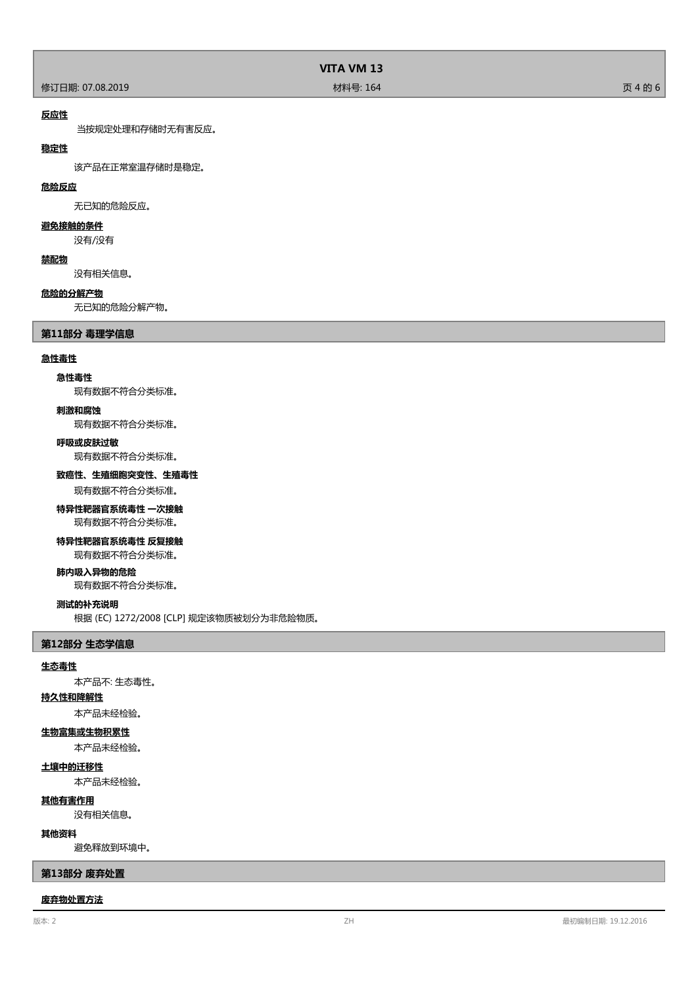# **VITA VM 13**

## **反应性**

当按规定处理和存储时无有害反应。

## **稳定性**

该产品在正常室温存储时是稳定。

## **危险反应**

无已知的危险反应。

# **避免接触的条件**

没有/没有

## **禁配物**

没有相关信息。

## **危险的分解产物**

无已知的危险分解产物。

## **第11部分 毒理学信息**

#### **急性毒性**

## **急性毒性**

现有数据不符合分类标准。

#### **刺激和腐蚀**

现有数据不符合分类标准。

## **呼吸或皮肤过敏**

现有数据不符合分类标准。

#### **致癌性、生殖细胞突变性、生殖毒性**

现有数据不符合分类标准。

# **特异性靶器官系统毒性 一次接触**

现有数据不符合分类标准。

# **特异性靶器官系统毒性 反复接触**

现有数据不符合分类标准。

## **肺内吸入异物的危险**

现有数据不符合分类标准。

#### **测试的补充说明**

根据 (EC) 1272/2008 [CLP] 规定该物质被划分为非危险物质。

#### **第12部分 生态学信息**

#### **生态毒性**

本产品不: 生态毒性。

# **持久性和降解性**

本产品未经检验。

## **生物富集或生物积累性**

本产品未经检验。

# **土壤中的迁移性**

本产品未经检验。

## **其他有害作用**

没有相关信息。

## **其他资料**

避免释放到环境中。

## **第13部分 废弃处置**

#### **废弃物处置方法**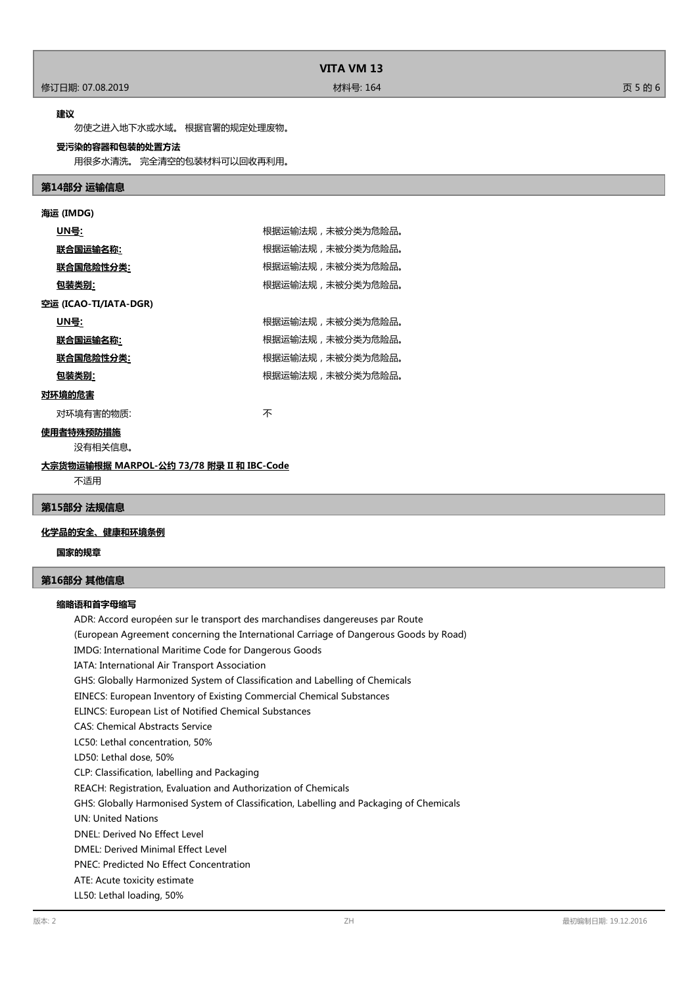#### **建议**

勿使之进入地下水或水域。 根据官署的规定处理废物。

## **受污染的容器和包装的处置方法**

用很多水清洗。 完全清空的包装材料可以回收再利用。

## **第14部分 运输信息**

| 海运 (IMDG)             |                  |  |
|-----------------------|------------------|--|
| <u>UN号</u> :          | 根据运输法规,未被分类为危险品。 |  |
| 联合国运输名称:              | 根据运输法规,未被分类为危险品。 |  |
| <u> 联合国危险性分类:</u>     | 根据运输法规,未被分类为危险品。 |  |
| 包装类别:                 | 根据运输法规,未被分类为危险品。 |  |
| 空运 (ICAO-TI/IATA-DGR) |                  |  |
| <u>UN号:</u>           | 根据运输法规,未被分类为危险品。 |  |
| 联合国运输名称:              | 根据运输法规,未被分类为危险品。 |  |
| <u> 联合国危险性分类:</u>     | 根据运输法规,未被分类为危险品。 |  |
| 包装类别:                 | 根据运输法规,未被分类为危险品。 |  |
| 对环境的危害                |                  |  |
| 对环境有害的物质:             | 不                |  |
| 使用者特殊预防措施             |                  |  |
| 没有相关信息。               |                  |  |
|                       |                  |  |

不适用

# **第15部分 法规信息**

# **化学品的安全、健康和环境条例**

**国家的规章**

## **第16部分 其他信息**

#### **缩略语和首字母缩写**

ADR: Accord européen sur le transport des marchandises dangereuses par Route (European Agreement concerning the International Carriage of Dangerous Goods by Road) IMDG: International Maritime Code for Dangerous Goods IATA: International Air Transport Association GHS: Globally Harmonized System of Classification and Labelling of Chemicals EINECS: European Inventory of Existing Commercial Chemical Substances ELINCS: European List of Notified Chemical Substances CAS: Chemical Abstracts Service LC50: Lethal concentration, 50% LD50: Lethal dose, 50% CLP: Classification, labelling and Packaging REACH: Registration, Evaluation and Authorization of Chemicals GHS: Globally Harmonised System of Classification, Labelling and Packaging of Chemicals UN: United Nations DNEL: Derived No Effect Level DMEL: Derived Minimal Effect Level PNEC: Predicted No Effect Concentration ATE: Acute toxicity estimate LL50: Lethal loading, 50%